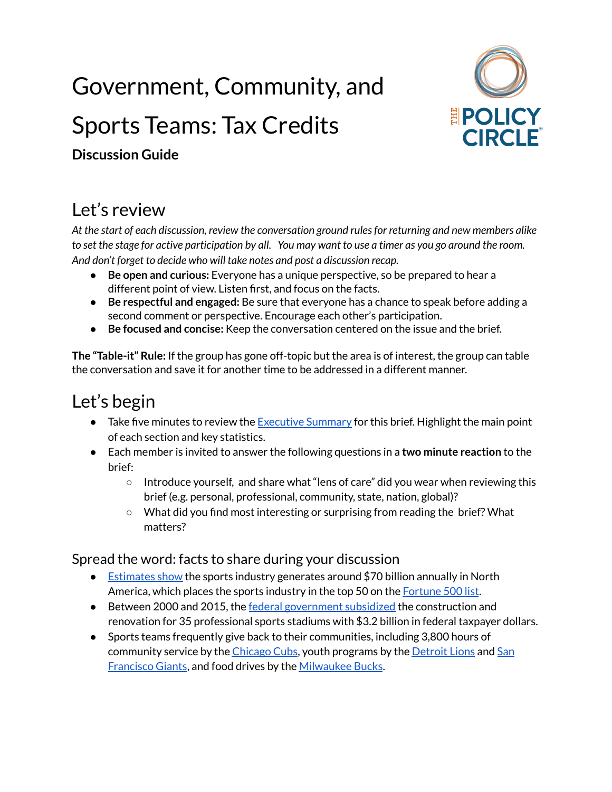# Government, Community, and Sports Teams: Tax Credits



**Discussion Guide**

## Let's review

*At the start of each discussion, review the conversation ground rulesfor returning and new members alike* to set the stage for active participation by all. You may want to use a timer as you go around the room. *And don't forget to decide who will take notes and post a discussion recap.*

- **Be open and curious:** Everyone has a unique perspective, so be prepared to hear a different point of view. Listen first, and focus on the facts.
- **Be respectful and engaged:** Be sure that everyone has a chance to speak before adding a second comment or perspective. Encourage each other's participation.
- **Be focused and concise:** Keep the conversation centered on the issue and the brief.

**The "Table-it" Rule:** If the group has gone off-topic but the area is of interest, the group can table the conversation and save it for another time to be addressed in a different manner.

### Let's begin

- Take five minutes to review the [Executive](https://www.thepolicycircle.org/wp-content/uploads/2019/08/Government-Community-and-Sports-Teams-Executive-Summary.pdf) Summary for this brief. Highlight the main point of each section and key statistics.
- Each member is invited to answer the following questions in a **two minute reaction** to the brief:
	- Introduce yourself, and share what "lens of care" did you wear when reviewing this brief (e.g. personal, professional, community, state, nation, global)?
	- What did you find most interesting or surprising from reading the brief? What matters?

#### Spread the word: facts to share during your discussion

- [Estimates](https://www.pwc.com/us/en/industry/entertainment-media/assets/2018-sports-outlook.pdf) show the sports industry generates around \$70 billion annually in North America, which places the sports industry in the top 50 on the [Fortune](https://fortune.com/fortune500/2021/search/) 500 list.
- Between 2000 and 2015, the federal [government](https://www.brookings.edu/research/why-the-federal-government-should-stop-spending-billions-on-private-sports-stadiums/) subsidized the construction and renovation for 35 professional sports stadiums with \$3.2 billion in federal taxpayer dollars.
- Sports teams frequently give back to their communities, including 3,800 hours of community service by the [Chicago](https://content.mlb.com/documents/3/4/8/302077348/2018_Cubs_Neighborhood_Protection_Report.pdf) Cubs, youth programs by the [Detroit](https://sportsustainabilityjournal.com/analysis/professional-sports-teams-battle-poverty-in-their-communities/) Lions and [San](https://www.mlb.com/giants/community/fund/junior-giants/about) [Francisco](https://www.mlb.com/giants/community/fund/junior-giants/about) Giants, and food drives by the [Milwaukee](https://www.nba.com/bucks/block-out-hunger) Bucks.